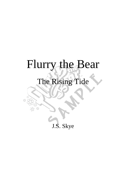## Flurry the Bear

## The Rising Tide

£ß

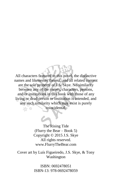All characters featured in this novel, the distinctive names and likenesses thereof, and all related content are the sole property of J.S. Skye. No similarity between any of the names, characters, persons, and/or institutions in this book with those of any living or dead person or institution is intended, and any such similarity which may exist is purely coincidental.

> The Rising Tide (Flurry the Bear – Book 5) Copyright © 2015 J.S. Skye All rights reserved. www.FlurryTheBear.com

Cover art by Luís Figueiredo, J.S. Skye, & Tony Washington

> ISBN: 0692478051 ISBN-13: 978-0692478059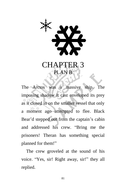

The Arctos was a massive ship. The imposing shadow it cast enveloped its prey as it closed in on the smaller vessel that only a moment ago attempted to flee. Black Bear'd stepped out from the captain's cabin and addressed his crew. "Bring me the prisoners! Theran has something special planned for them!"

The crew groveled at the sound of his voice. "Yes, sir! Right away, sir!" they all replied.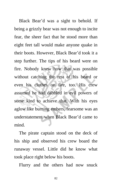Black Bear'd was a sight to behold. If being a grizzly bear was not enough to incite fear, the sheer fact that he stood more than eight feet tall would make anyone quake in their boots. However, Black Bear'd took it a step further. The tips of his beard were on fire. Nobody knew how that was possible without catching the rest of his beard or even his clothes on fire, too. His crew assumed he had dabbled in evil powers of some kind to achieve that. With his eyes aglow like burning embers, fearsome was an understatement when Black Bear'd came to mind.

The pirate captain stood on the deck of his ship and observed his crew board the runaway vessel. Little did he know what took place right below his boots.

Flurry and the others had now snuck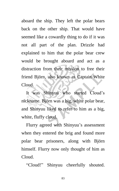aboard the ship. They left the polar bears back on the other ship. That would have seemed like a cowardly thing to do if it was not all part of the plan. Drizzle had explained to him that the polar bear crew would be brought aboard and act as a distraction from their mission to free their friend Björn, also known as Captain White Cloud.

It was Shinyuu who started Cloud's nickname. Björn was a big, white polar bear, and Shinyuu liked to refer to him as a big, white, fluffy cloud.

Flurry agreed with Shinyuu's assessment when they entered the brig and found more polar bear prisoners, along with Björn himself. Flurry now only thought of him as Cloud.

"Cloud!" Shinyuu cheerfully shouted.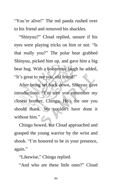"You're alive!" The red panda rushed over to his friend and removed his shackles.

"Shinyuu?" Cloud replied, unsure if his eyes were playing tricks on him or not. "Is that really you?" The polar bear grabbed Shinyuu, picked him up, and gave him a big bear hug. With a boisterous laugh he added, "It's great to see you, old friend!"

After being set back down, Shinyuu gave introductions. "I'm sure you remember my closest brother, Chingu. He's the one you should thank. We couldn't have done it without him."

Chingu bowed, but Cloud approached and grasped the young warrior by the wrist and shook. "I'm honored to be in your presence, again."

"Likewise," Chingu replied.

"And who are these little ones?" Cloud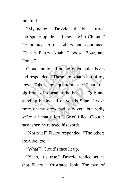inquired.

"My name is Drizzle," the black-furred cub spoke up first. "I travel with Chingu." He pointed to the others and continued. "This is Flurry, Noah, Caboose, Boaz, and Honja."

Cloud motioned at the other polar bears and responded, "These are what's left of my crew. This is my quartermaster Einar; the big brute of a bear in the back is Egil; and standing behind all of you is Stian. I wish more of my crew had survived, but sadly we're all that's left." Grief filled Cloud's face when he relayed his words.

"Not true!" Flurry responded. "The others are alive, too."

"What?" Cloud's face lit up.

"Yeah, it's true," Drizzle replied as he shot Flurry a frustrated look. The two of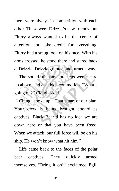them were always in competition with each other. These were Drizzle's new friends, but Flurry always wanted to be the center of attention and take credit for everything. Flurry had a smug look on his face. With his arms crossed, he stood there and stared back at Drizzle. Drizzle grunted and turned away.

The sound of many footsteps were heard up above, and a sudden commotion. "What's going on?" Cloud asked.

Chingu spoke up. "That's part of our plan. Your crew is being brought aboard as captives. Black Bear'd has no idea we are down here or that you have been freed. When we attack, our full force will be on his ship. He won't know what hit him."

Life came back to the faces of the polar bear captives. They quickly armed themselves. "Bring it on!" exclaimed Egil,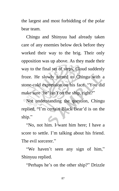the largest and most forbidding of the polar bear team.

Chingu and Shinyuu had already taken care of any enemies below deck before they worked their way to the brig. Their only opposition was up above. As they made their way to the final set of steps, Cloud suddenly froze. He slowly turned to Chingu with a stone-cold expression on his face. "You did make sure 'he' isn't on the ship, right?"

Not understanding the question, Chingu replied, "I'm certain Black Bear'd is on the ship."

"No, not him. I want him here; I have a score to settle. I'm talking about his friend. The evil sorcerer."

"We haven't seen any sign of him," Shinyuu replied.

"Perhaps he's on the other ship?" Drizzle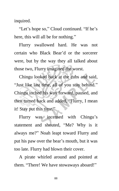inquired.

"Let's hope so," Cloud continued. "If he's here, this will all be for nothing."

Flurry swallowed hard. He was not certain who Black Bear'd or the sorcerer were, but by the way they all talked about those two, Flurry imagined the worst.

Chingu looked back at the cubs and said, "Just like last time, all of you stay behind." Chingu inched his way forward, paused, and then turned back and added, "Flurry, I mean it! Stay put this time."

Flurry was incensed with Chingu's statement and shouted, "Me? Why is it always me?" Noah leapt toward Flurry and put his paw over the bear's mouth, but it was too late. Flurry had blown their cover.

A pirate whirled around and pointed at them. "There! We have stowaways aboard!"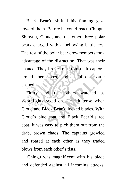Black Bear'd shifted his flaming gaze toward them. Before he could react, Chingu, Shinyuu, Cloud, and the other three polar bears charged with a bellowing battle cry. The rest of the polar bear crewmembers took advantage of the distraction. That was their chance. They broke free from their captors, armed themselves, and a full-out battle ensued.

Flurry and the others watched as swordfights raged on. He felt tense when Cloud and Black Bear'd locked blades. With Cloud's blue coat and Black Bear'd's red coat, it was easy to pick them out from the drab, brown chaos. The captains growled and roared at each other as they traded blows from each other's fists.

Chingu was magnificent with his blade and defended against all incoming attacks.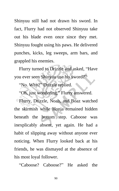Shinyuu still had not drawn his sword. In fact, Flurry had not observed Shinyuu take out his blade even once since they met. Shinyuu fought using his paws. He delivered punches, kicks, leg sweeps, arm bars, and grappled his enemies.

Flurry turned to Drizzle and asked, "Have you ever seen Shinyuu use his sword?"

"No. Why?" Drizzle replied.

"Oh, just wondering," Flurry answered.

Flurry, Drizzle, Noah, and Boaz watched the skirmish while Honja remained hidden beneath the bottom step. Caboose was inexplicably absent, yet again. He had a habit of slipping away without anyone ever noticing. When Flurry looked back at his friends, he was dismayed at the absence of his most loyal follower.

"Caboose? Caboose?" He asked the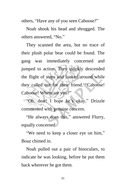others, "Have any of you seen Caboose?"

Noah shook his head and shrugged. The others answered, "No."

They scanned the area, but no trace of their plush polar bear could be found. The gang was immediately concerned and jumped to action. They quickly descended the flight of steps and looked around while they called out for their friend. "Caboose! Caboose! Where are you?"

"Oh, dear! I hope he's okay," Drizzle commented with genuine concern.

"He always does this," answered Flurry, equally concerned.

"We need to keep a closer eye on him," Boaz chimed in.

Noah pulled out a pair of binoculars, to indicate he was looking, before he put them back wherever he got them.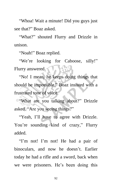"Whoa! Wait a minute! Did you guys just see that?" Boaz asked.

"What?" shouted Flurry and Drizzle in unison.

"Noah!" Boaz replied.

"We're looking for Caboose, silly!" Flurry answered.

"No! I mean, he keeps doing things that should be impossible," Boaz insisted with a frustrated tone of voice.

"What are you talking about?" Drizzle asked. "Are you seeing things?"

"Yeah, I'll have to agree with Drizzle. You're sounding kind of crazy," Flurry added.

"I'm not! I'm not! He had a pair of binoculars, and now he doesn't. Earlier today he had a rifle and a sword, back when we were prisoners. He's been doing this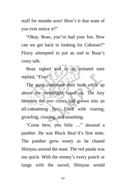stuff for months now! How's it that none of you ever notice it?"

"Okay, Boaz, you've had your fun. Now can we get back to looking for Caboose?" Flurry attempted to put an end to Boaz's crazy talk.

Boaz sighed and in an irritated tone replied, "Fine!"

The gang continued their hunt while up above the swordfight raged on. The fury between the two crews had grown into an all-consuming fire, filled with roaring, growling, clawing, and smashing.

"Come here, you little …" shouted a panther. He was Black Bear'd's first mate. The panther grew weary as he chased Shinyuu around the mast. The red panda was too quick. With the enemy's every punch or lunge with the sword, Shinyuu would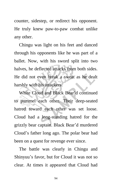counter, sidestep, or redirect his opponent. He truly knew paw-to-paw combat unlike any other.

Chingu was light on his feet and danced through his opponents like he was part of a ballet. Now, with his sword split into two halves, he deflected attacks from both sides. He did not even break a sweat as he dealt harshly with his attackers.

White Cloud and Black Bear'd continued to pummel each other. Their deep-seated hatred toward each other was set loose. Cloud had a long-standing hatred for the grizzly bear captain. Black Bear'd murdered Cloud's father long ago. The polar bear had been on a quest for revenge ever since.

The battle was clearly in Chingu and Shinyuu's favor, but for Cloud it was not so clear. At times it appeared that Cloud had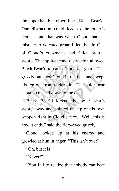the upper hand; at other times, Black Bear'd. One distraction could lead to the other's demise, and that was when Cloud made a mistake. A defeated groan filled the air. One of Cloud's crewmates had fallen by the sword. That split-second distraction allowed Black Bear'd to catch Cloud off guard. The grizzly punched Cloud in the face and swept his leg out from under him. The polar bear captain crashed down to the deck.

**Black Bear'd kicked the polar bear's** sword away and pointed the tip of his own weapon right in Cloud's face. "Well, this is how it ends," said the fiery-eyed grizzly.

Cloud looked up at his enemy and growled at him in anger. "This isn't over!"

"Oh, but it is!"

"Never!"

"You fail to realize that nobody can beat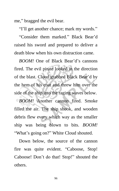me," bragged the evil bear.

"I'll get another chance; mark my words."

"Consider them marked." Black Bear'd raised his sword and prepared to deliver a death blow when his own distraction came.

*BOOM!* One of Black Bear'd's cannons fired. The evil pirate looked in the direction of the blast. Cloud grabbed Black Bear'd by the hem of his coat and threw him over the side of the ship into the raging waves below. *BOOM!* Another cannon fired. Smoke filled the air. The ship shook, and wooden debris flew every which way as the smaller ship was being blown to bits. *BOOM!* "What's going on?" White Cloud shouted.

Down below, the source of the cannon fire was quite evident. "Caboose, Stop! Caboose! Don't do that! Stop!" shouted the others.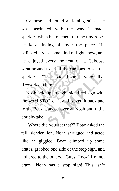Caboose had found a flaming stick. He was fascinated with the way it made sparkles when he touched it to the tiny ropes he kept finding all over the place. He believed it was some kind of light show, and he enjoyed every moment of it. Caboose went around to all of the cannons to see the sparkles. The loud booms were like fireworks to him.

Noah held up an eight-sided red sign with the word STOP on it and waved it back and forth. Boaz glanced over at Noah and did a double-take.

"Where did you get that?" Boaz asked the tall, slender lion. Noah shrugged and acted like he giggled. Boaz climbed up some crates, grabbed one side of the stop sign, and hollered to the others, "Guys! Look! I'm not crazy! Noah has a stop sign! This isn't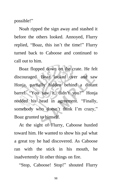possible!"

Noah ripped the sign away and stashed it before the others looked. Annoyed, Flurry replied, "Boaz, this isn't the time!" Flurry turned back to Caboose and continued to call out to him.

Boaz flopped down on the crate. He felt discouraged. Boaz looked over and saw Honja, partially hidden behind a distant barrel. "You saw it, didn't you?" Honja nodded his head in agreement. "Finally, somebody who doesn't think I'm crazy," Boaz grunted to himself.

At the sight of Flurry, Caboose hustled toward him. He wanted to show his pal what a great toy he had discovered. As Caboose ran with the stick in his mouth, he inadvertently lit other things on fire.

"Stop, Caboose! Stop!" shouted Flurry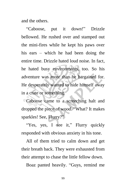and the others.

"Caboose, put it down!" Drizzle bellowed. He rushed over and stamped out the mini-fires while he kept his paws over his ears – which he had been doing the entire time. Drizzle hated loud noise. In fact, he hated busy environments, too. So his adventure was more than he bargained for. He desperately wanted to hide himself away in a crate or something.

Caboose came to a screeching halt and dropped the piece of wood. "What? It makes sparkles! See, Flurry?"

"Yes, yes, I see it," Flurry quickly responded with obvious anxiety in his tone.

All of them tried to calm down and get their breath back. They were exhausted from their attempt to chase the little fellow down.

Boaz panted heavily. "Guys, remind me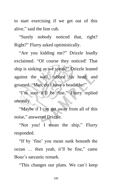to start exercising if we get out of this alive," said the lion cub.

"Surely nobody noticed that, right? Right?" Flurry asked optimistically.

"Are you kidding me?" Drizzle loudly exclaimed. "Of course they noticed! That ship is sinking as we speak!" Drizzle leaned against the wall, rubbed his head, and groaned. "Man, do I have a headache!"

"I'm sure it'll be fine," Flurry replied uneasily.

"Maybe if I can get away from all of this noise," answered Drizzle.

"Not you! I mean the ship," Flurry responded.

"If by 'fine' you mean sunk beneath the ocean … then yeah, it'll be fine," came Boaz's sarcastic remark.

"This changes our plans. We can't keep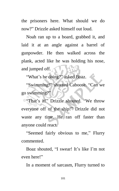the prisoners here. What should we do now?" Drizzle asked himself out loud.

Noah ran up to a board, grabbed it, and laid it at an angle against a barrel of gunpowder. He then walked across the plank, acted like he was holding his nose, and jumped off.

"What's he doing?" asked Boaz.

"Swimming!" shouted Caboose. "Can we go swimming?"

"That's it!" Drizzle shouted. "We throw everyone off of the ship!" Drizzle did not waste any time. He ran off faster than anyone could react.

"Seemed fairly obvious to me," Flurry commented.

Boaz shouted, "I swear! It's like I'm not even here!"

In a moment of sarcasm, Flurry turned to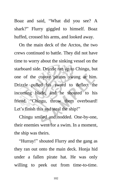Boaz and said, "What did you see? A shark?" Flurry giggled to himself. Boaz huffed, crossed his arms, and looked away.

On the main deck of the Arctos, the two crews continued to battle. They did not have time to worry about the sinking vessel on the starboard side. Drizzle ran up to Chingu, but one of the coyote pirates swung at him. Drizzle pulled his sword to deflect the incoming blade, and he shouted to his friend. "Chingu, throw them overboard! Let's finish this and steal the ship!"

Chingu smiled and nodded. One-by-one, their enemies went for a swim. In a moment, the ship was theirs.

"Hurray!" shouted Flurry and the gang as they ran out onto the main deck. Honja hid under a fallen pirate hat. He was only willing to peek out from time-to-time.